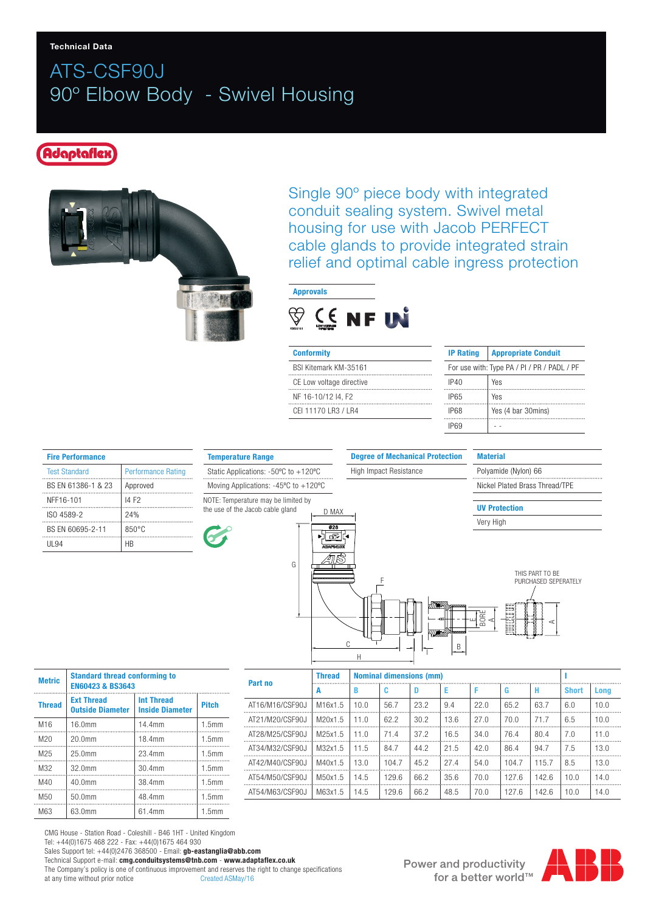## ATS-CSF90J 90º Elbow Body - Swivel Housing

#### Adaptaflex



Single 90º piece body with integrated conduit sealing system. Swivel metal housing for use with Jacob PERFECT cable glands to provide integrated strain relief and optimal cable ingress protection



| <b>Conformity</b>        | <b>IP Rating</b>                            | <b>Appropriate Conduit</b> |  |  |
|--------------------------|---------------------------------------------|----------------------------|--|--|
| BSI Kitemark KM-35161    | For use with: Type PA / PI / PR / PADL / PF |                            |  |  |
| CE Low voltage directive | IP40                                        | Yes                        |  |  |
| NF 16-10/12 I4, F2       | IP65                                        | Yes                        |  |  |
| CEL11170 LR3 / LR4       | IP68                                        | Yes (4 bar 30mins)         |  |  |
|                          |                                             |                            |  |  |

| <b>Fire Performance</b> |                           |  |  |  |  |  |
|-------------------------|---------------------------|--|--|--|--|--|
| <b>Test Standard</b>    | <b>Performance Rating</b> |  |  |  |  |  |
| BS EN 61386-1 & 23      | Approved                  |  |  |  |  |  |
| NFF16-101               | 14 F <sub>2</sub>         |  |  |  |  |  |
| ISO 4589-2              | 24%                       |  |  |  |  |  |
| BS EN 60695-2-11        | $850^{\circ}$ C           |  |  |  |  |  |
| <b>III</b> 94           | ΗR                        |  |  |  |  |  |



C

Degree of Mechanical Protection

Nickel Plated Brass Thread/TPE

Polyamide (Nylon) 66

UV Protection

Very High

**Material** 



| <b>Metric</b>   | <b>Standard thread conforming to</b><br><b>EN60423 &amp; BS3643</b> |                                             |              |  |  |  |
|-----------------|---------------------------------------------------------------------|---------------------------------------------|--------------|--|--|--|
| <b>Thread</b>   | <b>Ext Thread</b><br><b>Outside Diameter</b>                        | <b>Int Thread</b><br><b>Inside Diameter</b> | <b>Pitch</b> |  |  |  |
| M <sub>16</sub> | 16.0mm                                                              | 14.4mm                                      | 1.5mm        |  |  |  |
| M <sub>20</sub> | 20.0mm                                                              | 18.4mm                                      | 1.5mm        |  |  |  |
| M <sub>25</sub> | 25.0mm                                                              | 23.4mm                                      | 1.5mm        |  |  |  |
| M32             | 32.0mm                                                              | 30.4mm                                      | 1.5mm        |  |  |  |
| M40             | 40.0mm                                                              | 38.4mm                                      | 1.5mm        |  |  |  |
| M <sub>50</sub> | 50.0mm                                                              | 48.4mm                                      | 1.5mm        |  |  |  |
| M63             | 63.0mm                                                              | 61.4mm                                      | 1.5mm        |  |  |  |

|                 |               | Н                              |       |      |      |      |       |       |              |      |
|-----------------|---------------|--------------------------------|-------|------|------|------|-------|-------|--------------|------|
|                 | <b>Thread</b> | <b>Nominal dimensions (mm)</b> |       |      |      |      |       |       |              |      |
| Part no<br>А    |               | в                              | c     | Ð    | Е    | F    | G     | н     | <b>Short</b> | Long |
| AT16/M16/CSF90J | M16x1.5       | 10.0                           | 56.7  | 23.2 | 9.4  | 22.0 | 65.2  | 63.7  | 6.0          | 10.0 |
| AT21/M20/CSF90J | M20x1.5       | 11.0                           | 62.2  | 30.2 | 13.6 | 27.0 | 70.0  | 71.7  | 6.5          | 10.0 |
| AT28/M25/CSF90J | M25x1.5       | 11.0                           | 71.4  | 37.2 | 16.5 | 34.0 | 76.4  | 80.4  | 7.0          | 11.0 |
| AT34/M32/CSF90J | M32x1.5       | 11.5                           | 84.7  | 44.2 | 21.5 | 42.0 | 86.4  | 94.7  | 7.5          | 13.0 |
| AT42/M40/CSF90J | M40x1.5       | 13.0                           | 104.7 | 45.2 | 27.4 | 54.0 | 104.7 | 115.7 | 8.5          | 13.0 |
| AT54/M50/CSF90J | M50x1.5       | 14.5                           | 129.6 | 66.2 | 35.6 | 70.0 | 127.6 | 142.6 | 10.0         | 14.0 |
| AT54/M63/CSF90J | M63x1.5       | 14.5                           | 129.6 | 66.2 | 48.5 | 70.0 | 127.6 | 142.6 | 10.0         | 14.0 |

CMG House - Station Road - Coleshill - B46 1HT - United Kingdom Tel: +44(0)1675 468 222 - Fax: +44(0)1675 464 930 Sales Support tel: +44(0)2476 368500 - Email: gb-eastanglia@abb.com Technical Support e-mail: cmg.conduitsystems@tnb.com - www.adaptaflex.co.uk The Company's policy is one of continuous improvement and reserves the right to change specifications at any time without prior notice<br>Created ASMay/16 at any time without prior notice

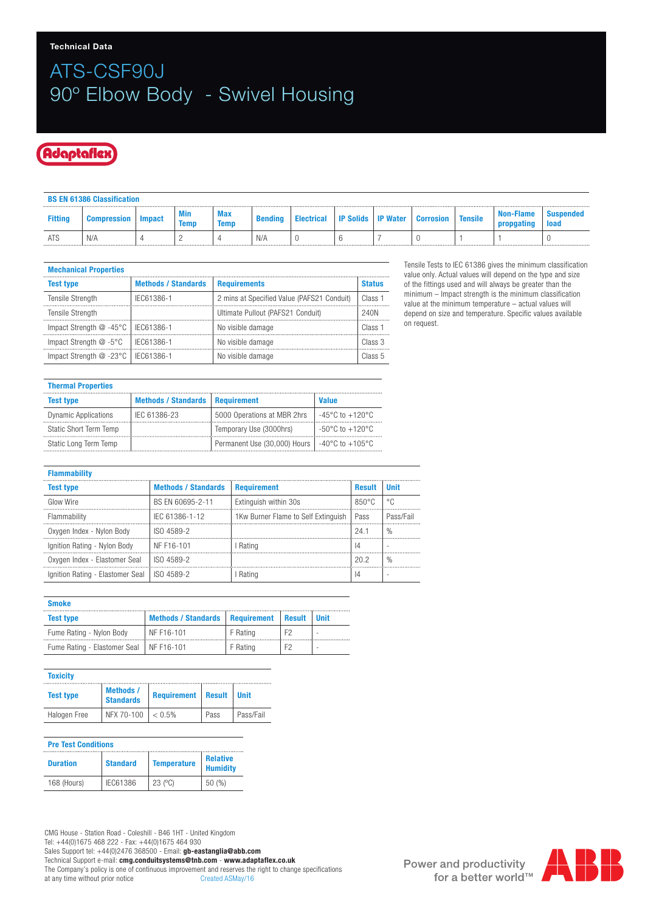# ATS-CSF90J 90º Elbow Body - Swivel Housing

#### Adaptaflex

|                | <b>BS EN 61386 Classification</b> |        |             |                    |                |            |                  |                 |                  |                |                  |                   |
|----------------|-----------------------------------|--------|-------------|--------------------|----------------|------------|------------------|-----------------|------------------|----------------|------------------|-------------------|
| <b>Fitting</b> | <b>Compression</b>                | Impact | Min<br>Temp | Max<br><b>Temp</b> | <b>Bending</b> | Electrical | <b>IP Solids</b> | <b>IP Water</b> | <b>Corrosion</b> | <b>Tensile</b> | <b>Non-Flame</b> | suspended<br>load |
| <b>ATS</b>     | N/f                               |        |             |                    | N/A            |            |                  |                 |                  |                |                  |                   |

| <b>Mechanical Properties</b> |  |
|------------------------------|--|
|                              |  |

| <b>MUULIMANUU I</b> IUDU UUJ           |                            |                                            |                    |
|----------------------------------------|----------------------------|--------------------------------------------|--------------------|
| <b>Test type</b>                       | <b>Methods / Standards</b> | <b>Requirements</b>                        | <b>Status</b>      |
| <b>Tensile Strength</b>                | IEC61386-1                 | 2 mins at Specified Value (PAFS21 Conduit) | Class <sub>1</sub> |
| <b>Tensile Strength</b>                |                            | Ultimate Pullout (PAFS21 Conduit)          | 240N               |
| Impact Strength $@ -45°C$   IEC61386-1 |                            | No visible damage                          | Class <sub>1</sub> |
| Impact Strength $@ -5°C$   IEC61386-1  |                            | No visible damage                          | Class 3            |
| Impact Strength @ -23°C   IEC61386-1   |                            | No visible damage                          | Class 5            |

Tensile Tests to IEC 61386 gives the minimum classification value only. Actual values will depend on the type and size of the fittings used and will always be greater than the minimum – Impact strength is the minimum classification value at the minimum temperature – actual values will depend on size and temperature. Specific values available on request.

| <b>Thermal Properties</b>   |                                          |                              |                                           |  |  |  |  |
|-----------------------------|------------------------------------------|------------------------------|-------------------------------------------|--|--|--|--|
| <b>Test type</b>            | <b>Methods / Standards   Requirement</b> |                              | Value                                     |  |  |  |  |
| <b>Dynamic Applications</b> | IEC 61386-23                             | 5000 Operations at MBR 2hrs  | -45°C to +120°C                           |  |  |  |  |
| Static Short Term Temp      |                                          | Temporary Use (3000hrs)      | $-50^{\circ}$ C to $+120^{\circ}$ C       |  |  |  |  |
| Static Long Term Temp       |                                          | Permanent Use (30,000) Hours | $\vert -40^{\circ}$ C to $+105^{\circ}$ C |  |  |  |  |

| <b>Flammability</b>              |                            |                                            |                 |               |  |  |  |
|----------------------------------|----------------------------|--------------------------------------------|-----------------|---------------|--|--|--|
| <b>Test type</b>                 | <b>Methods / Standards</b> | <b>Requirement</b>                         | <b>Result</b>   | <b>Unit</b>   |  |  |  |
| Glow Wire                        | BS EN 60695-2-11           | Extinguish within 30s                      | $850^{\circ}$ C | °C            |  |  |  |
| Flammability                     | IEC 61386-1-12             | 1Kw Burner Flame to Self Extinguish   Pass |                 | Pass/Fail     |  |  |  |
| Oxygen Index - Nylon Body        | ISO 4589-2                 |                                            | 24.1            | $\frac{0}{0}$ |  |  |  |
| Ignition Rating - Nylon Body     | NF F16-101                 | I Rating                                   | 14              |               |  |  |  |
| Oxygen Index - Elastomer Seal    | ISO 4589-2                 |                                            | 20.2            | $\frac{0}{0}$ |  |  |  |
| Ignition Rating - Elastomer Seal | ISO 4589-2                 | Rating                                     | 14              |               |  |  |  |

| <b>Smoke</b>                              |                            |                    |               |                          |
|-------------------------------------------|----------------------------|--------------------|---------------|--------------------------|
| <b>Test type</b>                          | <b>Methods / Standards</b> | <b>Requirement</b> | <b>Result</b> | Unit                     |
| Fume Rating - Nylon Body                  | NF F16-101                 | F Rating           | F2            | $\overline{\phantom{a}}$ |
| Fume Rating - Elastomer Seal   NF F16-101 |                            | F Rating           | F2            | $\overline{\phantom{a}}$ |

| <b>Toxicity</b>  |                                      |                    |               |             |
|------------------|--------------------------------------|--------------------|---------------|-------------|
| <b>Test type</b> | <b>Methods /</b><br><b>Standards</b> | <b>Requirement</b> | <b>Result</b> | <b>Unit</b> |
| Halogen Free     | NFX 70-100                           | < 0.5%             | Pass          | Pass/Fail   |

| <b>Pre Test Conditions</b> |                 |                      |                                    |  |  |  |
|----------------------------|-----------------|----------------------|------------------------------------|--|--|--|
| <b>Duration</b>            | <b>Standard</b> | <b>Temperature</b>   | <b>Relative</b><br><b>Humidity</b> |  |  |  |
| 168 (Hours)                | IEC61386        | $23$ ( $^{\circ}$ C) | 50 (%)                             |  |  |  |

CMG House - Station Road - Coleshill - B46 1HT - United Kingdom Tel: +44(0)1675 468 222 - Fax: +44(0)1675 464 930 Sales Support tel: +44(0)2476 368500 - Email: gb-eastanglia@abb.com Technical Support e-mail: cmg.conduitsystems@tnb.com - www.adaptaflex.co.uk The Company's policy is one of continuous improvement and reserves the right to change specifications at any time without prior notice<br>Created ASMay/16 at any time without prior notice